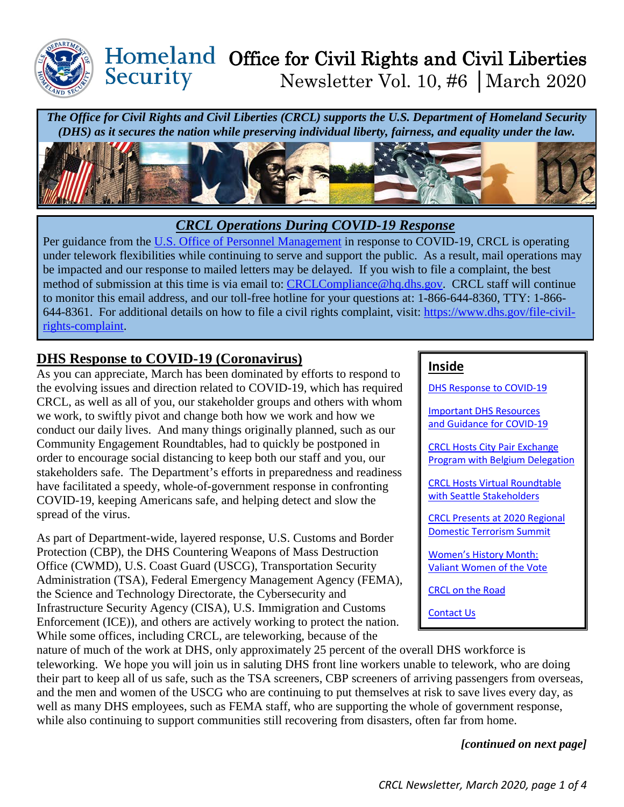

#### Office for Civil Rights and Civil Liberties Security Newsletter Vol. 10, #6 │March 2020

*The Office for Civil Rights and Civil Liberties (CRCL) supports the U.S. Department of Homeland Security (DHS) as it secures the nation while preserving individual liberty, fairness, and equality under the law.*



### *CRCL Operations During COVID-19 Response*

Per guidance from the [U.S. Office of Personnel Management](https://www.opm.gov/) in response to COVID-19, CRCL is operating under telework flexibilities while continuing to serve and support the public. As a result, mail operations may be impacted and our response to mailed letters may be delayed. If you wish to file a complaint, the best method of submission at this time is via email to: [CRCLCompliance@hq.dhs.gov.](mailto:CRCLCompliance@hq.dhs.gov) CRCL staff will continue to monitor this email address, and our toll-free hotline for your questions at: 1-866-644-8360, TTY: 1-866- 644-8361. For additional details on how to file a civil rights complaint, visit: [https://www.dhs.gov/file-civil](https://www.dhs.gov/file-civil-rights-complaint)[rights-complaint.](https://www.dhs.gov/file-civil-rights-complaint)

### <span id="page-0-0"></span>**DHS Response to COVID-19 (Coronavirus)**

As you can appreciate, March has been dominated by efforts to respond to the evolving issues and direction related to COVID-19, which has required CRCL, as well as all of you, our stakeholder groups and others with whom we work, to swiftly pivot and change both how we work and how we conduct our daily lives. And many things originally planned, such as our Community Engagement Roundtables, had to quickly be postponed in order to encourage social distancing to keep both our staff and you, our stakeholders safe. The Department's efforts in preparedness and readiness have facilitated a speedy, whole-of-government response in confronting COVID-19, keeping Americans safe, and helping detect and slow the spread of the virus.

As part of Department-wide, layered response, U.S. Customs and Border Protection (CBP), the DHS Countering Weapons of Mass Destruction Office (CWMD), U.S. Coast Guard (USCG), Transportation Security Administration (TSA), Federal Emergency Management Agency (FEMA), the Science and Technology Directorate, the Cybersecurity and Infrastructure Security Agency (CISA), U.S. Immigration and Customs Enforcement (ICE)), and others are actively working to protect the nation. While some offices, including CRCL, are teleworking, because of the

#### **Inside**

[DHS Response to COVID-19](#page-0-0)

[Important DHS Resources](#page-1-0)  [and Guidance for COVID-19](#page-1-0)

[CRCL Hosts City Pair](#page-2-0) Exchange Program with [Belgium Delegation](#page-2-0)

[CRCL Hosts Virtual Roundtable](#page-2-1)  [with Seattle Stakeholders](#page-2-1)

[CRCL Presents at 2020 Regional](#page-2-2) [Domestic Terrorism Summit](#page-2-2)

[Women's History Month:](#page-3-0)  [Valiant Women of the Vote](#page-3-0) 

[CRCL on the Road](#page-3-1)

[Contact Us](#page-3-2)

nature of much of the work at DHS, only approximately 25 percent of the overall DHS workforce is teleworking. We hope you will join us in saluting DHS front line workers unable to telework, who are doing their part to keep all of us safe, such as the TSA screeners, CBP screeners of arriving passengers from overseas, and the men and women of the USCG who are continuing to put themselves at risk to save lives every day, as well as many DHS employees, such as FEMA staff, who are supporting the whole of government response, while also continuing to support communities still recovering from disasters, often far from home.

*[continued on next page]*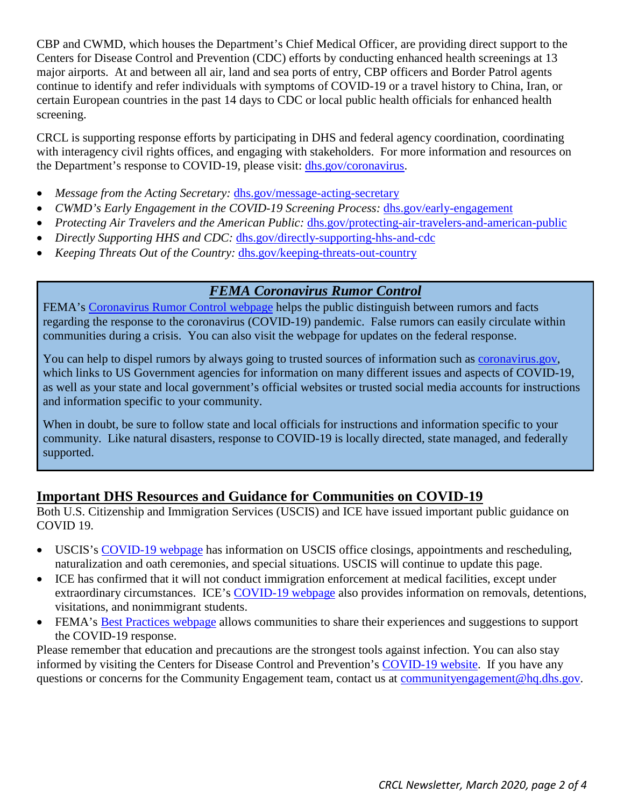CBP and CWMD, which houses the Department's Chief Medical Officer, are providing direct support to the Centers for Disease Control and Prevention (CDC) efforts by conducting enhanced health screenings at 13 major airports. At and between all air, land and sea ports of entry, CBP officers and Border Patrol agents continue to identify and refer individuals with symptoms of COVID-19 or a travel history to China, Iran, or certain European countries in the past 14 days to CDC or local public health officials for enhanced health screening.

CRCL is supporting response efforts by participating in DHS and federal agency coordination, coordinating with interagency civil rights offices, and engaging with stakeholders. For more information and resources on the Department's response to COVID-19, please visit: [dhs.gov/coronavirus.](https://www.dhs.gov/coronavirus)

- *Message from the Acting Secretary:* [dhs.gov/message-acting-secretary](https://www.dhs.gov/message-acting-secretary)
- *CWMD's Early Engagement in the COVID-19 Screening Process:* [dhs.gov/early-engagement](https://www.dhs.gov/early-engagement)
- *Protecting Air Travelers and the American Public: [dhs.gov/protecting-air-travelers-and-american-public](https://www.dhs.gov/protecting-air-travelers-and-american-public)*
- *Directly Supporting HHS and CDC:* [dhs.gov/directly-supporting-hhs-and-cdc](https://www.dhs.gov/directly-supporting-hhs-and-cdc)
- *Keeping Threats Out of the Country: [dhs.gov/keeping-threats-out-country](https://www.dhs.gov/keeping-threats-out-country)*

### *FEMA Coronavirus Rumor Control*

FEMA's [Coronavirus Rumor Control webpage](https://www.fema.gov/coronavirus-Rumor-Control) helps the public distinguish between rumors and facts regarding the response to the coronavirus (COVID-19) pandemic. False rumors can easily circulate within communities during a crisis. You can also visit the webpage for updates on the federal response.

You can help to dispel rumors by always going to trusted sources of information such as [coronavirus.gov,](https://www.coronavirus.gov/) which links to US Government agencies for information on many different issues and aspects of COVID-19, as well as your state and local government's official websites or trusted social media accounts for instructions and information specific to your community.

When in doubt, be sure to follow state and local officials for instructions and information specific to your community. Like natural disasters, response to COVID-19 is locally directed, state managed, and federally supported.

#### <span id="page-1-0"></span>**Important DHS Resources and Guidance for Communities on COVID-19**

Both U.S. Citizenship and Immigration Services (USCIS) and ICE have issued important public guidance on COVID 19.

- USCIS's [COVID-19 webpage](https://www.uscis.gov/about-us/uscis-response-coronavirus-disease-2019-covid-19) has information on USCIS office closings, appointments and rescheduling, naturalization and oath ceremonies, and special situations. USCIS will continue to update this page.
- ICE has confirmed that it will not conduct immigration enforcement at medical facilities, except under extraordinary circumstances. ICE's [COVID-19 webpage](https://www.ice.gov/covid19) also provides information on removals, detentions, visitations, and nonimmigrant students.
- FEMA's [Best Practices webpage](https://www.fema.gov/coronavirus/best-practices) allows communities to share their experiences and suggestions to support the COVID-19 response.

Please remember that education and precautions are the strongest tools against infection. You can also stay informed by visiting the Centers for Disease Control and Prevention's [COVID-19 website.](https://www.cdc.gov/coronavirus/2019-ncov/index.html) If you have any questions or concerns for the Community Engagement team, contact us at [communityengagement@hq.dhs.gov.](mailto:communityengagement@hq.dhs.gov)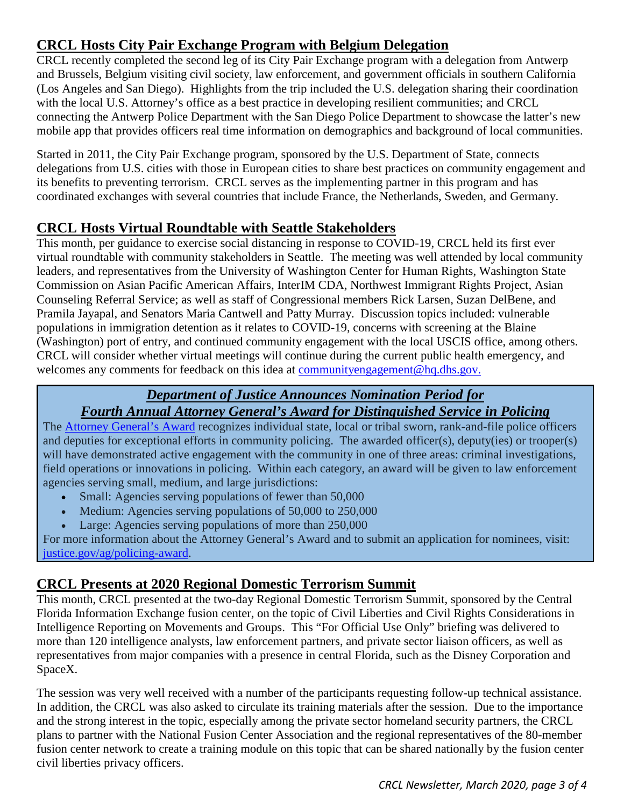# <span id="page-2-0"></span>**CRCL Hosts City Pair Exchange Program with Belgium Delegation**

CRCL recently completed the second leg of its City Pair Exchange program with a delegation from Antwerp and Brussels, Belgium visiting civil society, law enforcement, and government officials in southern California (Los Angeles and San Diego). Highlights from the trip included the U.S. delegation sharing their coordination with the local U.S. Attorney's office as a best practice in developing resilient communities; and CRCL connecting the Antwerp Police Department with the San Diego Police Department to showcase the latter's new mobile app that provides officers real time information on demographics and background of local communities.

Started in 2011, the City Pair Exchange program, sponsored by the U.S. Department of State, connects delegations from U.S. cities with those in European cities to share best practices on community engagement and its benefits to preventing terrorism. CRCL serves as the implementing partner in this program and has coordinated exchanges with several countries that include France, the Netherlands, Sweden, and Germany.

## <span id="page-2-1"></span>**CRCL Hosts Virtual Roundtable with Seattle Stakeholders**

This month, per guidance to exercise social distancing in response to COVID-19, CRCL held its first ever virtual roundtable with community stakeholders in Seattle. The meeting was well attended by local community leaders, and representatives from the University of Washington Center for Human Rights, Washington State Commission on Asian Pacific American Affairs, InterIM CDA, Northwest Immigrant Rights Project, Asian Counseling Referral Service; as well as staff of Congressional members Rick Larsen, Suzan DelBene, and Pramila Jayapal, and Senators Maria Cantwell and Patty Murray. Discussion topics included: vulnerable populations in immigration detention as it relates to COVID-19, concerns with screening at the Blaine (Washington) port of entry, and continued community engagement with the local USCIS office, among others. CRCL will consider whether virtual meetings will continue during the current public health emergency, and welcomes any comments for feedback on this idea at [communityengagement@hq.dhs.gov.](mailto:communityengagement@hq.dhs.gov)

## *Department of Justice Announces Nomination Period for Fourth Annual Attorney General's Award for Distinguished Service in Policing*

The [Attorney General's Award](https://www.justice.gov/opa/pr/department-justice-announces-nomination-period-fourth-annual-attorney-general-s-award) recognizes individual state, local or tribal sworn, rank-and-file police officers and deputies for exceptional efforts in community policing. The awarded officer(s), deputy(ies) or trooper(s) will have demonstrated active engagement with the community in one of three areas: criminal investigations, field operations or innovations in policing. Within each category, an award will be given to law enforcement agencies serving small, medium, and large jurisdictions:

- Small: Agencies serving populations of fewer than 50,000
- Medium: Agencies serving populations of 50,000 to 250,000
- Large: Agencies serving populations of more than 250,000

For more information about the Attorney General's Award and to submit an application for nominees, visit: [justice.gov/ag/policing-award.](https://www.justice.gov/ag/policing-award)

## <span id="page-2-2"></span>**CRCL Presents at 2020 Regional Domestic Terrorism Summit**

This month, CRCL presented at the two-day Regional Domestic Terrorism Summit, sponsored by the Central Florida Information Exchange fusion center, on the topic of Civil Liberties and Civil Rights Considerations in Intelligence Reporting on Movements and Groups. This "For Official Use Only" briefing was delivered to more than 120 intelligence analysts, law enforcement partners, and private sector liaison officers, as well as representatives from major companies with a presence in central Florida, such as the Disney Corporation and SpaceX.

The session was very well received with a number of the participants requesting follow-up technical assistance. In addition, the CRCL was also asked to circulate its training materials after the session. Due to the importance and the strong interest in the topic, especially among the private sector homeland security partners, the CRCL plans to partner with the National Fusion Center Association and the regional representatives of the 80-member fusion center network to create a training module on this topic that can be shared nationally by the fusion center civil liberties privacy officers.